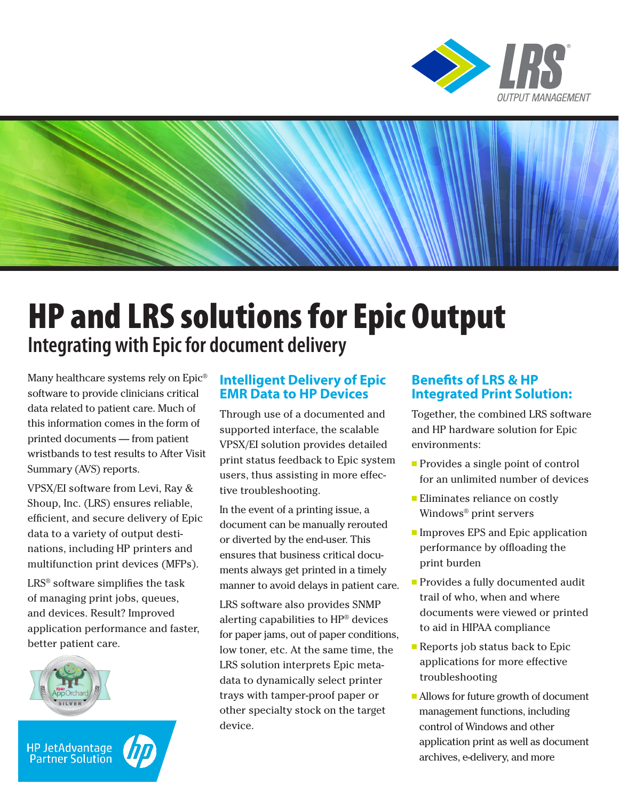



# HP and LRS solutions for Epic Output **Integrating with Epic for document delivery**

Many healthcare systems rely on Epic® software to provide clinicians critical data related to patient care. Much of this information comes in the form of printed documents — from patient wristbands to test results to After Visit Summary (AVS) reports.

VPSX/EI software from Levi, Ray & Shoup, Inc. (LRS) ensures reliable, efficient, and secure delivery of Epic data to a variety of output destinations, including HP printers and multifunction print devices (MFPs).

LRS® software simplifies the task of managing print jobs, queues, and devices. Result? Improved application performance and faster, better patient care.



HP JetAdvantage<br>Partner Solution



#### **Intelligent Delivery of Epic EMR Data to HP Devices**

Through use of a documented and supported interface, the scalable VPSX/EI solution provides detailed print status feedback to Epic system users, thus assisting in more effective troubleshooting.

In the event of a printing issue, a document can be manually rerouted or diverted by the end-user. This ensures that business critical documents always get printed in a timely manner to avoid delays in patient care.

LRS software also provides SNMP alerting capabilities to HP® devices for paper jams, out of paper conditions, low toner, etc. At the same time, the LRS solution interprets Epic metadata to dynamically select printer trays with tamper-proof paper or other specialty stock on the target device.

#### **Benefits of LRS & HP Integrated Print Solution:**

Together, the combined LRS software and HP hardware solution for Epic environments:

- $\blacksquare$  Provides a single point of control for an unlimited number of devices
- **Eliminates reliance on costly** Windows® print servers
- Improves EPS and Epic application performance by offloading the print burden
- **Provides a fully documented audit** trail of who, when and where documents were viewed or printed to aid in HIPAA compliance
- $\blacksquare$  Reports job status back to Epic applications for more effective troubleshooting
- <sup>n</sup> Allows for future growth of document management functions, including control of Windows and other application print as well as document archives, e-delivery, and more